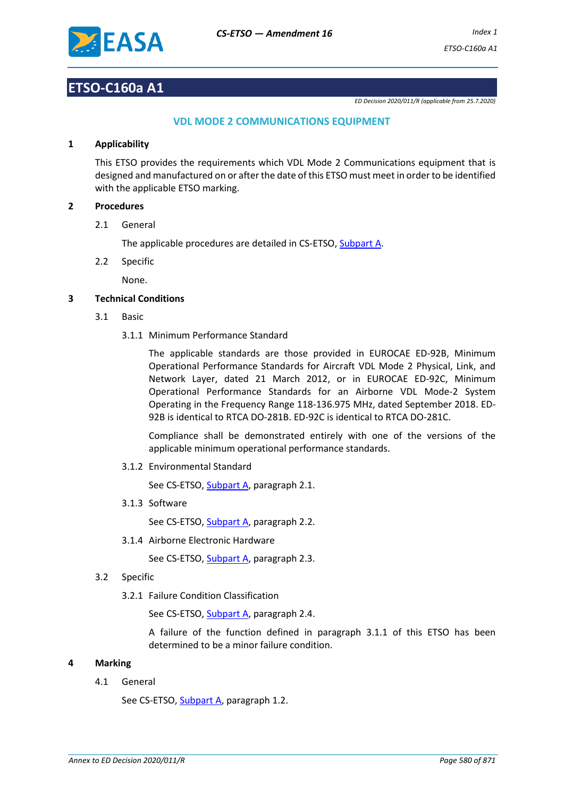

# **ETSO-C160a A1**

*ED Decision 2020/011/R (applicable from 25.7.2020)*

# **VDL MODE 2 COMMUNICATIONS EQUIPMENT**

#### **1 Applicability**

This ETSO provides the requirements which VDL Mode 2 Communications equipment that is designed and manufactured on or after the date of this ETSO must meet in order to be identified with the applicable ETSO marking.

## **2 Procedures**

2.1 General

The applicable procedures are detailed in CS-ETSO, Subpart A.

2.2 Specific

None.

## **3 Technical Conditions**

- 3.1 Basic
	- 3.1.1 Minimum Performance Standard

The applicable standards are those provided in EUROCAE ED-92B, Minimum Operational Performance Standards for Aircraft VDL Mode 2 Physical, Link, and Network Layer, dated 21 March 2012, or in EUROCAE ED-92C, Minimum Operational Performance Standards for an Airborne VDL Mode-2 System Operating in the Frequency Range 118-136.975 MHz, dated September 2018. ED-92B is identical to RTCA DO-281B. ED-92C is identical to RTCA DO-281C.

Compliance shall be demonstrated entirely with one of the versions of the applicable minimum operational performance standards.

3.1.2 Environmental Standard

See CS-ETSO, Subpart A, paragraph 2.1.

3.1.3 Software

See CS-ETSO, Subpart A, paragraph 2.2.

3.1.4 Airborne Electronic Hardware

See CS-ETSO, Subpart A, paragraph 2.3.

- 3.2 Specific
	- 3.2.1 Failure Condition Classification

See CS-ETSO, Subpart A, paragraph 2.4.

A failure of the function defined in paragraph 3.1.1 of this ETSO has been determined to be a minor failure condition.

#### **4 Marking**

4.1 General

See CS-ETSO, Subpart A, paragraph 1.2.